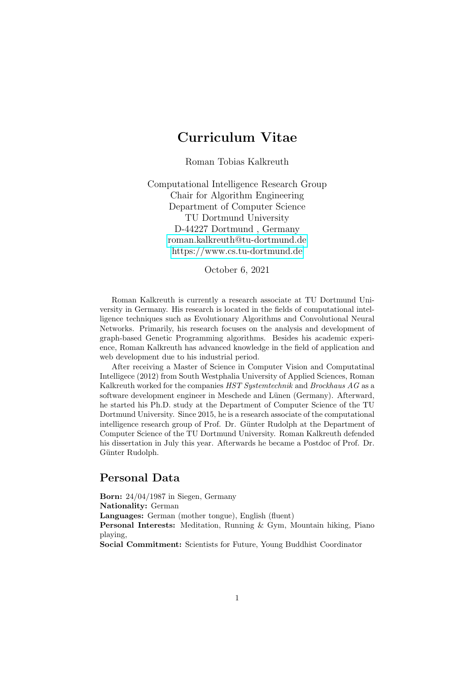# Curriculum Vitae

Roman Tobias Kalkreuth

Computational Intelligence Research Group Chair for Algorithm Engineering Department of Computer Science TU Dortmund University D-44227 Dortmund , Germany [roman.kalkreuth@tu-dortmund.de](mailto:roman.kalkreuth@tu-dortmund.de) <https://www.cs.tu-dortmund.de>

October 6, 2021

Roman Kalkreuth is currently a research associate at TU Dortmund University in Germany. His research is located in the fields of computational intelligence techniques such as Evolutionary Algorithms and Convolutional Neural Networks. Primarily, his research focuses on the analysis and development of graph-based Genetic Programming algorithms. Besides his academic experience, Roman Kalkreuth has advanced knowledge in the field of application and web development due to his industrial period.

After receiving a Master of Science in Computer Vision and Computatinal Intelligece (2012) from South Westphalia University of Applied Sciences, Roman Kalkreuth worked for the companies HST Systemtechnik and Brockhaus AG as a software development engineer in Meschede and Lünen (Germany). Afterward, he started his Ph.D. study at the Department of Computer Science of the TU Dortmund University. Since 2015, he is a research associate of the computational intelligence research group of Prof. Dr. Günter Rudolph at the Department of Computer Science of the TU Dortmund University. Roman Kalkreuth defended his dissertation in July this year. Afterwards he became a Postdoc of Prof. Dr. Günter Rudolph.

# Personal Data

Born: 24/04/1987 in Siegen, Germany Nationality: German Languages: German (mother tongue), English (fluent) Personal Interests: Meditation, Running & Gym, Mountain hiking, Piano playing, Social Commitment: Scientists for Future, Young Buddhist Coordinator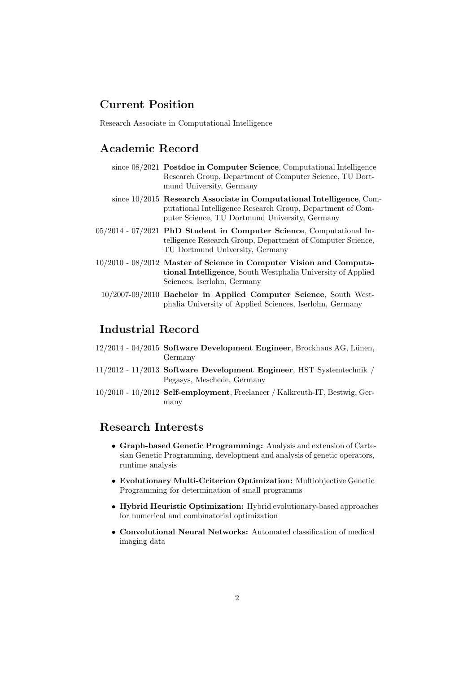# Current Position

Research Associate in Computational Intelligence

# Academic Record

| since $08/2021$ Postdoc in Computer Science, Computational Intelligence |
|-------------------------------------------------------------------------|
| Research Group, Department of Computer Science, TU Dort-                |
| mund University, Germany                                                |

- since 10/2015 Research Associate in Computational Intelligence, Computational Intelligence Research Group, Department of Computer Science, TU Dortmund University, Germany
- 05/2014 07/2021 PhD Student in Computer Science, Computational Intelligence Research Group, Department of Computer Science, TU Dortmund University, Germany
- 10/2010 08/2012 Master of Science in Computer Vision and Computational Intelligence, South Westphalia University of Applied Sciences, Iserlohn, Germany
	- 10/2007-09/2010 Bachelor in Applied Computer Science, South Westphalia University of Applied Sciences, Iserlohn, Germany

# Industrial Record

- $12/2014$  04/2015 Software Development Engineer, Brockhaus AG, Lünen, Germany
- 11/2012 11/2013 Software Development Engineer, HST Systemtechnik / Pegasys, Meschede, Germany
- 10/2010 10/2012 Self-employment, Freelancer / Kalkreuth-IT, Bestwig, Germany

# Research Interests

- Graph-based Genetic Programming: Analysis and extension of Cartesian Genetic Programming, development and analysis of genetic operators, runtime analysis
- Evolutionary Multi-Criterion Optimization: Multiobjective Genetic Programming for determination of small programms
- Hybrid Heuristic Optimization: Hybrid evolutionary-based approaches for numerical and combinatorial optimization
- Convolutional Neural Networks: Automated classification of medical imaging data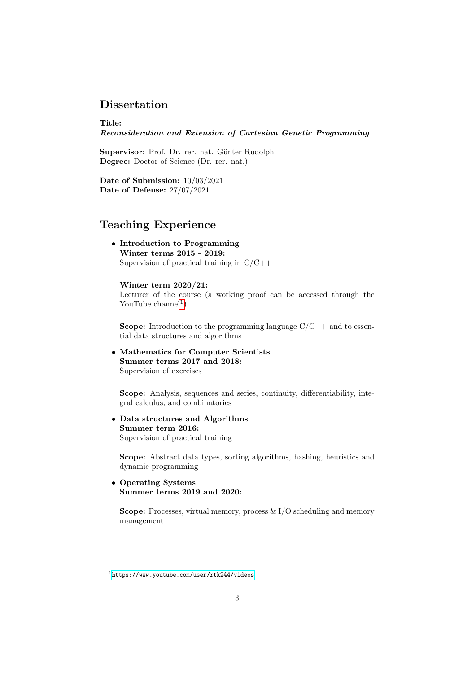## Dissertation

Title: Reconsideration and Extension of Cartesian Genetic Programming

Supervisor: Prof. Dr. rer. nat. Günter Rudolph Degree: Doctor of Science (Dr. rer. nat.)

Date of Submission: 10/03/2021 Date of Defense: 27/07/2021

# Teaching Experience

• Introduction to Programming Winter terms 2015 - 2019: Supervision of practical training in C/C++

Winter term 2020/21: Lecturer of the course (a working proof can be accessed through the YouTube channel<sup>[1](#page-2-0)</sup>)

**Scope:** Introduction to the programming language  $C/C++$  and to essential data structures and algorithms

• Mathematics for Computer Scientists Summer terms 2017 and 2018: Supervision of exercises

Scope: Analysis, sequences and series, continuity, differentiability, integral calculus, and combinatorics

• Data structures and Algorithms Summer term 2016: Supervision of practical training

Scope: Abstract data types, sorting algorithms, hashing, heuristics and dynamic programming

#### • Operating Systems Summer terms 2019 and 2020:

Scope: Processes, virtual memory, process  $\& I/O$  scheduling and memory management

<span id="page-2-0"></span> $1$ <https://www.youtube.com/user/rtk244/videos>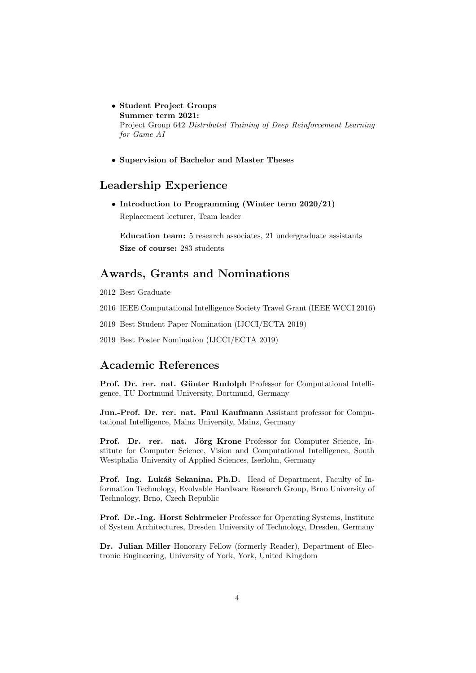- Student Project Groups Summer term 2021: Project Group 642 Distributed Training of Deep Reinforcement Learning for Game AI
- Supervision of Bachelor and Master Theses

# Leadership Experience

• Introduction to Programming (Winter term 2020/21) Replacement lecturer, Team leader

Education team: 5 research associates, 21 undergraduate assistants Size of course: 283 students

### Awards, Grants and Nominations

2012 Best Graduate

2016 IEEE Computational Intelligence Society Travel Grant (IEEE WCCI 2016)

- 2019 Best Student Paper Nomination (IJCCI/ECTA 2019)
- 2019 Best Poster Nomination (IJCCI/ECTA 2019)

# Academic References

Prof. Dr. rer. nat. Günter Rudolph Professor for Computational Intelligence, TU Dortmund University, Dortmund, Germany

Jun.-Prof. Dr. rer. nat. Paul Kaufmann Assistant professor for Computational Intelligence, Mainz University, Mainz, Germany

Prof. Dr. rer. nat. Jörg Krone Professor for Computer Science, Institute for Computer Science, Vision and Computational Intelligence, South Westphalia University of Applied Sciences, Iserlohn, Germany

Prof. Ing. Lukáš Sekanina, Ph.D. Head of Department, Faculty of Information Technology, Evolvable Hardware Research Group, Brno University of Technology, Brno, Czech Republic

Prof. Dr.-Ing. Horst Schirmeier Professor for Operating Systems, Institute of System Architectures, Dresden University of Technology, Dresden, Germany

Dr. Julian Miller Honorary Fellow (formerly Reader), Department of Electronic Engineering, University of York, York, United Kingdom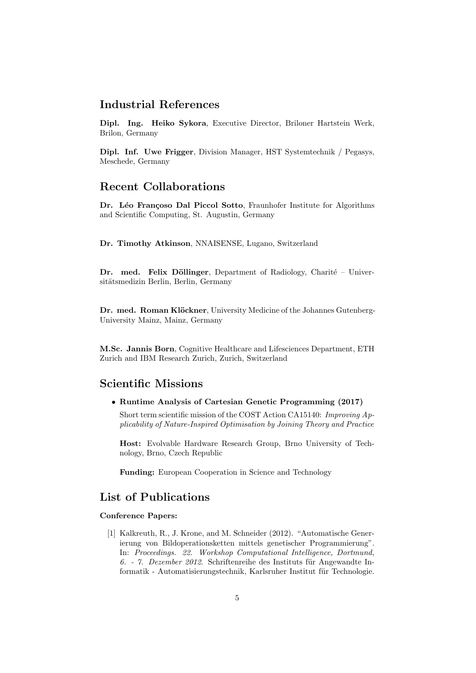### Industrial References

Dipl. Ing. Heiko Sykora, Executive Director, Briloner Hartstein Werk, Brilon, Germany

Dipl. Inf. Uwe Frigger, Division Manager, HST Systemtechnik / Pegasys, Meschede, Germany

### Recent Collaborations

Dr. Léo Françoso Dal Piccol Sotto, Fraunhofer Institute for Algorithms and Scientific Computing, St. Augustin, Germany

Dr. Timothy Atkinson, NNAISENSE, Lugano, Switzerland

Dr. med. Felix Döllinger, Department of Radiology, Charité – Universitätsmedizin Berlin, Berlin, Germany

Dr. med. Roman Klöckner, University Medicine of the Johannes Gutenberg-University Mainz, Mainz, Germany

M.Sc. Jannis Born, Cognitive Healthcare and Lifesciences Department, ETH Zurich and IBM Research Zurich, Zurich, Switzerland

# Scientific Missions

• Runtime Analysis of Cartesian Genetic Programming (2017)

Short term scientific mission of the COST Action CA15140: Improving Applicability of Nature-Inspired Optimisation by Joining Theory and Practice

Host: Evolvable Hardware Research Group, Brno University of Technology, Brno, Czech Republic

Funding: European Cooperation in Science and Technology

# List of Publications

#### Conference Papers:

[1] Kalkreuth, R., J. Krone, and M. Schneider (2012). "Automatische Generierung von Bildoperationsketten mittels genetischer Programmierung". In: Proceedings. 22. Workshop Computational Intelligence, Dortmund, 6. - 7. Dezember 2012. Schriftenreihe des Instituts für Angewandte Informatik - Automatisierungstechnik, Karlsruher Institut für Technologie.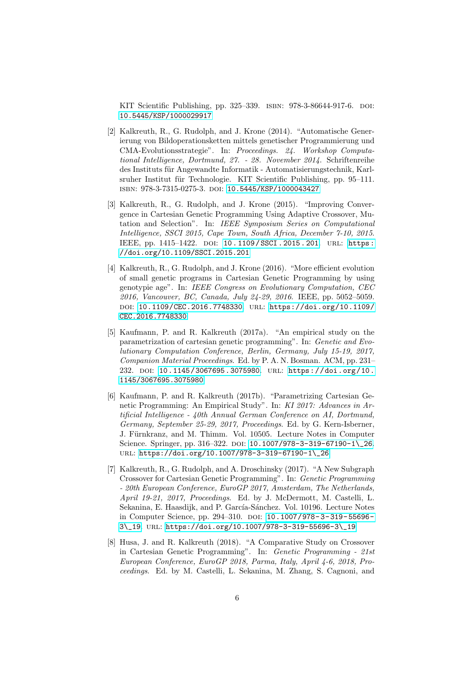KIT Scientific Publishing, pp. 325–339. ISBN: 978-3-86644-917-6. DOI: [10.5445/KSP/1000029917](https://doi.org/10.5445/KSP/1000029917)

- [2] Kalkreuth, R., G. Rudolph, and J. Krone (2014). "Automatische Generierung von Bildoperationsketten mittels genetischer Programmierung und CMA-Evolutionsstrategie". In: Proceedings. 24. Workshop Computational Intelligence, Dortmund, 27. - 28. November 2014. Schriftenreihe des Instituts für Angewandte Informatik - Automatisierungstechnik, Karlsruher Institut für Technologie. KIT Scientific Publishing, pp. 95–111. isbn: 978-3-7315-0275-3. doi: [10.5445/KSP/1000043427](https://doi.org/10.5445/KSP/1000043427)
- [3] Kalkreuth, R., G. Rudolph, and J. Krone (2015). "Improving Convergence in Cartesian Genetic Programming Using Adaptive Crossover, Mutation and Selection". In: IEEE Symposium Series on Computational Intelligence, SSCI 2015, Cape Town, South Africa, December 7-10, 2015. IEEE, pp. 1415-1422. DOI: 10.1109/SSCI.2015.201. URL: https: [//doi.org/10.1109/SSCI.2015.201](https://doi.org/10.1109/SSCI.2015.201)
- [4] Kalkreuth, R., G. Rudolph, and J. Krone (2016). "More efficient evolution of small genetic programs in Cartesian Genetic Programming by using genotypie age". In: IEEE Congress on Evolutionary Computation, CEC 2016, Vancouver, BC, Canada, July 24-29, 2016. IEEE, pp. 5052–5059. doi: [10.1109/CEC.2016.7748330](https://doi.org/10.1109/CEC.2016.7748330). url: [https://doi.org/10.1109/](https://doi.org/10.1109/CEC.2016.7748330) [CEC.2016.7748330](https://doi.org/10.1109/CEC.2016.7748330)
- [5] Kaufmann, P. and R. Kalkreuth (2017a). "An empirical study on the parametrization of cartesian genetic programming". In: Genetic and Evolutionary Computation Conference, Berlin, Germany, July 15-19, 2017, Companion Material Proceedings. Ed. by P. A. N. Bosman. ACM, pp. 231– 232. doi: [10.1145/3067695.3075980](https://doi.org/10.1145/3067695.3075980). url: [https://doi.org/10.](https://doi.org/10.1145/3067695.3075980) [1145/3067695.3075980](https://doi.org/10.1145/3067695.3075980)
- [6] Kaufmann, P. and R. Kalkreuth (2017b). "Parametrizing Cartesian Genetic Programming: An Empirical Study". In: KI 2017: Advances in Artificial Intelligence - 40th Annual German Conference on AI, Dortmund, Germany, September 25-29, 2017, Proceedings. Ed. by G. Kern-Isberner, J. Fürnkranz, and M. Thimm. Vol. 10505. Lecture Notes in Computer Science. Springer, pp.  $316-322$ . DOI:  $10.1007/978-3-319-67190-1$  26. url: [https://doi.org/10.1007/978-3-319-67190-1\\\_26](https://doi.org/10.1007/978-3-319-67190-1\_26)
- [7] Kalkreuth, R., G. Rudolph, and A. Droschinsky (2017). "A New Subgraph Crossover for Cartesian Genetic Programming". In: Genetic Programming - 20th European Conference, EuroGP 2017, Amsterdam, The Netherlands, April 19-21, 2017, Proceedings. Ed. by J. McDermott, M. Castelli, L. Sekanina, E. Haasdijk, and P. García-Sánchez. Vol. 10196. Lecture Notes in Computer Science, pp. 294-310. DOI: 10.1007/978-3-319-55696-[3\\\_19](https://doi.org/10.1007/978-3-319-55696-3\_19). url: [https://doi.org/10.1007/978-3-319-55696-3\\\_19](https://doi.org/10.1007/978-3-319-55696-3\_19)
- [8] Husa, J. and R. Kalkreuth (2018). "A Comparative Study on Crossover in Cartesian Genetic Programming". In: Genetic Programming - 21st European Conference, EuroGP 2018, Parma, Italy, April 4-6, 2018, Proceedings. Ed. by M. Castelli, L. Sekanina, M. Zhang, S. Cagnoni, and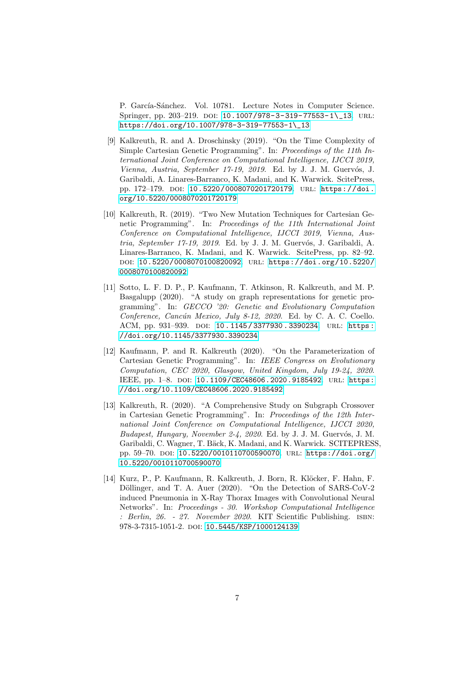P. García-Sánchez. Vol. 10781. Lecture Notes in Computer Science. Springer, pp. 203-219. DOI: 10.1007/978-3-319-77553-1\\_13. URL: [https://doi.org/10.1007/978-3-319-77553-1\\\_13](https://doi.org/10.1007/978-3-319-77553-1\_13)

- [9] Kalkreuth, R. and A. Droschinsky (2019). "On the Time Complexity of Simple Cartesian Genetic Programming". In: Proceedings of the 11th International Joint Conference on Computational Intelligence, IJCCI 2019, Vienna, Austria, September 17-19, 2019. Ed. by J. J. M. Guervós, J. Garibaldi, A. Linares-Barranco, K. Madani, and K. Warwick. ScitePress, pp. 172-179. pol: [10.5220/0008070201720179](https://doi.org/10.5220/0008070201720179). URL: [https://doi.](https://doi.org/10.5220/0008070201720179) [org/10.5220/0008070201720179](https://doi.org/10.5220/0008070201720179)
- [10] Kalkreuth, R. (2019). "Two New Mutation Techniques for Cartesian Genetic Programming". In: Proceedings of the 11th International Joint Conference on Computational Intelligence, IJCCI 2019, Vienna, Austria, September 17-19, 2019. Ed. by J. J. M. Guervós, J. Garibaldi, A. Linares-Barranco, K. Madani, and K. Warwick. ScitePress, pp. 82–92. doi: [10.5220/0008070100820092](https://doi.org/10.5220/0008070100820092). url: [https://doi.org/10.5220/](https://doi.org/10.5220/0008070100820092) [0008070100820092](https://doi.org/10.5220/0008070100820092)
- [11] Sotto, L. F. D. P., P. Kaufmann, T. Atkinson, R. Kalkreuth, and M. P. Basgalupp (2020). "A study on graph representations for genetic programming". In: GECCO '20: Genetic and Evolutionary Computation Conference, Cancún Mexico, July 8-12, 2020. Ed. by C. A. C. Coello. ACM, pp. 931-939. DOI: 10.1145/3377930.3390234. URL: https: [//doi.org/10.1145/3377930.3390234](https://doi.org/10.1145/3377930.3390234)
- [12] Kaufmann, P. and R. Kalkreuth (2020). "On the Parameterization of Cartesian Genetic Programming". In: IEEE Congress on Evolutionary Computation, CEC 2020, Glasgow, United Kingdom, July 19-24, 2020. IEEE, pp. 1–8. doi: [10.1109/CEC48606.2020.9185492](https://doi.org/10.1109/CEC48606.2020.9185492). url: [https:](https://doi.org/10.1109/CEC48606.2020.9185492) [//doi.org/10.1109/CEC48606.2020.9185492](https://doi.org/10.1109/CEC48606.2020.9185492)
- [13] Kalkreuth, R. (2020). "A Comprehensive Study on Subgraph Crossover in Cartesian Genetic Programming". In: Proceedings of the 12th International Joint Conference on Computational Intelligence, IJCCI 2020, Budapest, Hungary, November 2-4, 2020. Ed. by J. J. M. Guervós, J. M. Garibaldi, C. Wagner, T. Bäck, K. Madani, and K. Warwick. SCITEPRESS, pp. 59-70. doi: [10.5220/0010110700590070](https://doi.org/10.5220/0010110700590070). URL: [https://doi.org/](https://doi.org/10.5220/0010110700590070) [10.5220/0010110700590070](https://doi.org/10.5220/0010110700590070)
- [14] Kurz, P., P. Kaufmann, R. Kalkreuth, J. Born, R. Klöcker, F. Hahn, F. Döllinger, and T. A. Auer (2020). "On the Detection of SARS-CoV-2 induced Pneumonia in X-Ray Thorax Images with Convolutional Neural Networks". In: Proceedings - 30. Workshop Computational Intelligence : Berlin, 26. - 27. November 2020. KIT Scientific Publishing. isbn: 978-3-7315-1051-2. doi: [10.5445/KSP/1000124139](https://doi.org/10.5445/KSP/1000124139)